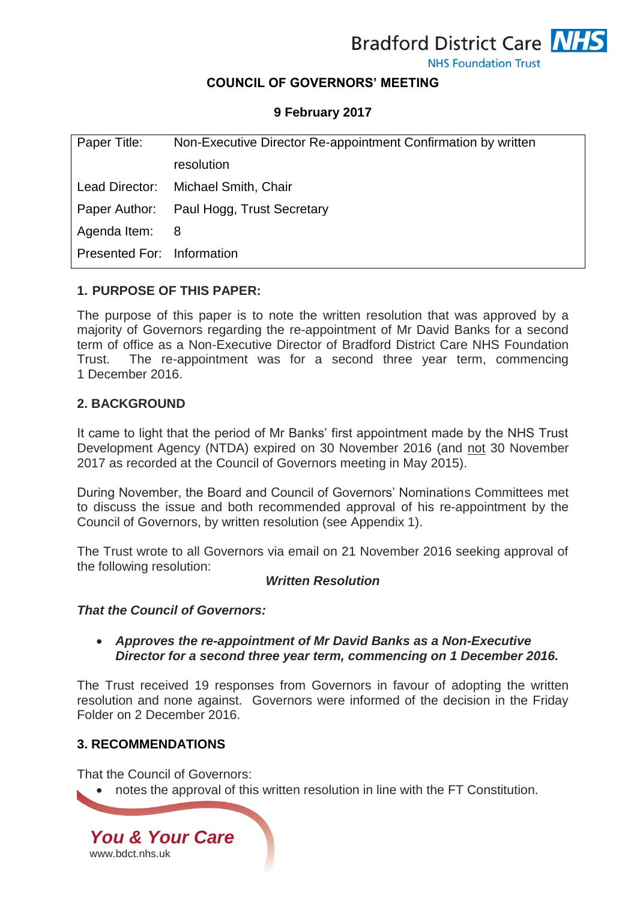

**NHS Foundation Trust** 

# **COUNCIL OF GOVERNORS' MEETING**

## **9 February 2017**

| Paper Title:               | Non-Executive Director Re-appointment Confirmation by written |
|----------------------------|---------------------------------------------------------------|
|                            | resolution                                                    |
| Lead Director:             | Michael Smith, Chair                                          |
|                            | Paper Author: Paul Hogg, Trust Secretary                      |
| Agenda Item: 8             |                                                               |
| Presented For: Information |                                                               |
|                            |                                                               |

## **1. PURPOSE OF THIS PAPER:**

The purpose of this paper is to note the written resolution that was approved by a majority of Governors regarding the re-appointment of Mr David Banks for a second term of office as a Non-Executive Director of Bradford District Care NHS Foundation Trust. The re-appointment was for a second three year term, commencing 1 December 2016.

#### **2. BACKGROUND**

It came to light that the period of Mr Banks' first appointment made by the NHS Trust Development Agency (NTDA) expired on 30 November 2016 (and not 30 November 2017 as recorded at the Council of Governors meeting in May 2015).

During November, the Board and Council of Governors' Nominations Committees met to discuss the issue and both recommended approval of his re-appointment by the Council of Governors, by written resolution (see Appendix 1).

The Trust wrote to all Governors via email on 21 November 2016 seeking approval of the following resolution:

#### *Written Resolution*

#### *That the Council of Governors:*

 *Approves the re-appointment of Mr David Banks as a Non-Executive Director for a second three year term, commencing on 1 December 2016.* 

The Trust received 19 responses from Governors in favour of adopting the written resolution and none against. Governors were informed of the decision in the Friday Folder on 2 December 2016.

#### **3. RECOMMENDATIONS**

That the Council of Governors:

notes the approval of this written resolution in line with the FT Constitution.